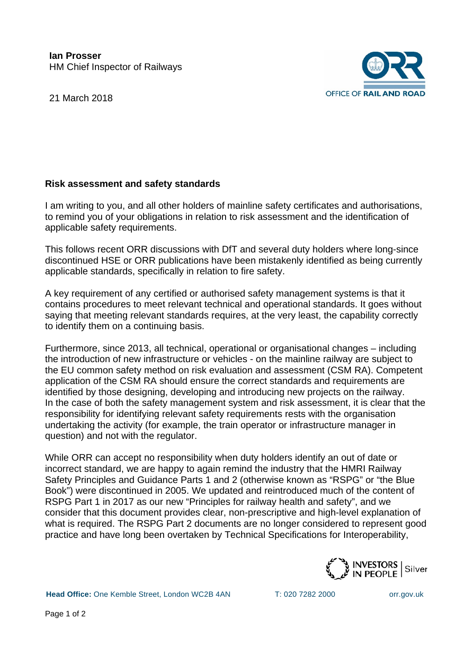21 March 2018



## **Risk assessment and safety standards**

I am writing to you, and all other holders of mainline safety certificates and authorisations, to remind you of your obligations in relation to risk assessment and the identification of applicable safety requirements.

This follows recent ORR discussions with DfT and several duty holders where long-since discontinued HSE or ORR publications have been mistakenly identified as being currently applicable standards, specifically in relation to fire safety.

A key requirement of any certified or authorised safety management systems is that it contains procedures to meet relevant technical and operational standards. It goes without saying that meeting relevant standards requires, at the very least, the capability correctly to identify them on a continuing basis.

Furthermore, since 2013, all technical, operational or organisational changes – including the introduction of new infrastructure or vehicles - on the mainline railway are subject to the EU common safety method on risk evaluation and assessment (CSM RA). Competent application of the CSM RA should ensure the correct standards and requirements are identified by those designing, developing and introducing new projects on the railway. In the case of both the safety management system and risk assessment, it is clear that the responsibility for identifying relevant safety requirements rests with the organisation undertaking the activity (for example, the train operator or infrastructure manager in question) and not with the regulator.

While ORR can accept no responsibility when duty holders identify an out of date or incorrect standard, we are happy to again remind the industry that the HMRI Railway Safety Principles and Guidance Parts 1 and 2 (otherwise known as "RSPG" or "the Blue Book") were discontinued in 2005. We updated and reintroduced much of the content of RSPG Part 1 in 2017 as our new "Principles for railway health and safety", and we consider that this document provides clear, non-prescriptive and high-level explanation of what is required. The RSPG Part 2 documents are no longer considered to represent good practice and have long been overtaken by Technical Specifications for Interoperability,



**Head Office:** One Kemble Street, London WC2B 4AN T: 020 7282 2000 [orr.gov.uk](http://www.orr.gov.uk/)